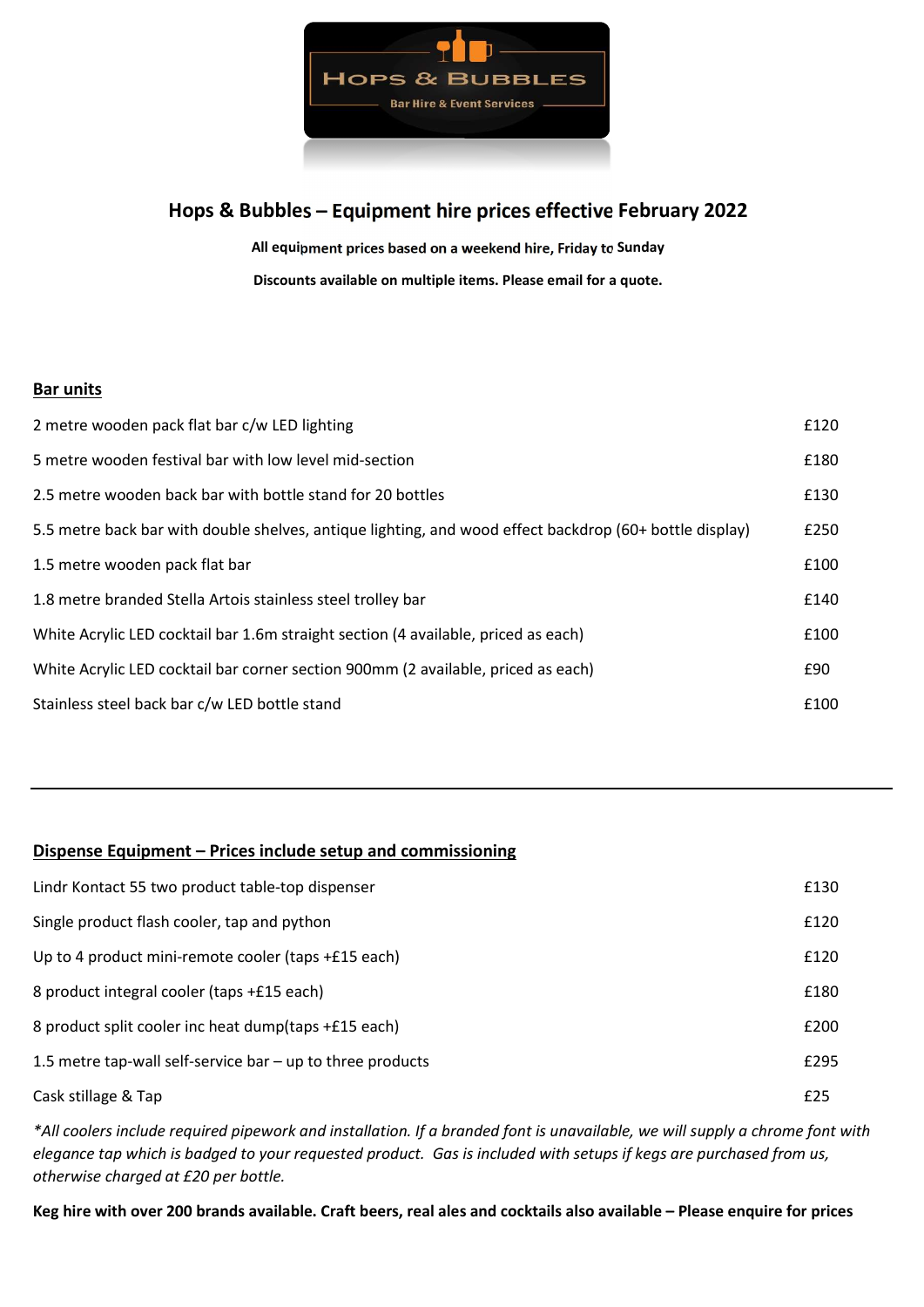

# Hops & Bubbles – Equipment hire prices effective February 2022

All equipment prices based on a weekend hire, Friday to Sunday Discounts available on multiple items. Please email for a quote.

### **Bar units**

| 2 metre wooden pack flat bar c/w LED lighting                                                           | £120 |
|---------------------------------------------------------------------------------------------------------|------|
| 5 metre wooden festival bar with low level mid-section                                                  | £180 |
| 2.5 metre wooden back bar with bottle stand for 20 bottles                                              | £130 |
| 5.5 metre back bar with double shelves, antique lighting, and wood effect backdrop (60+ bottle display) | £250 |
| 1.5 metre wooden pack flat bar                                                                          | £100 |
| 1.8 metre branded Stella Artois stainless steel trolley bar                                             | £140 |
| White Acrylic LED cocktail bar 1.6m straight section (4 available, priced as each)                      | £100 |
| White Acrylic LED cocktail bar corner section 900mm (2 available, priced as each)                       | £90  |
| Stainless steel back bar c/w LED bottle stand                                                           | £100 |
|                                                                                                         |      |

## Dispense Equipment – Prices include setup and commissioning

| Lindr Kontact 55 two product table-top dispenser             | £130 |
|--------------------------------------------------------------|------|
| Single product flash cooler, tap and python                  | £120 |
| Up to 4 product mini-remote cooler (taps +£15 each)          | £120 |
| 8 product integral cooler (taps +£15 each)                   | £180 |
| 8 product split cooler inc heat dump(taps +£15 each)         | £200 |
| 1.5 metre tap-wall self-service bar $-$ up to three products | £295 |
| Cask stillage & Tap                                          | £25  |

\*All coolers include required pipework and installation. If a branded font is unavailable, we will supply a chrome font with elegance tap which is badged to your requested product. Gas is included with setups if kegs are purchased from us, otherwise charged at £20 per bottle.

Keg hire with over 200 brands available. Craft beers, real ales and cocktails also available – Please enquire for prices